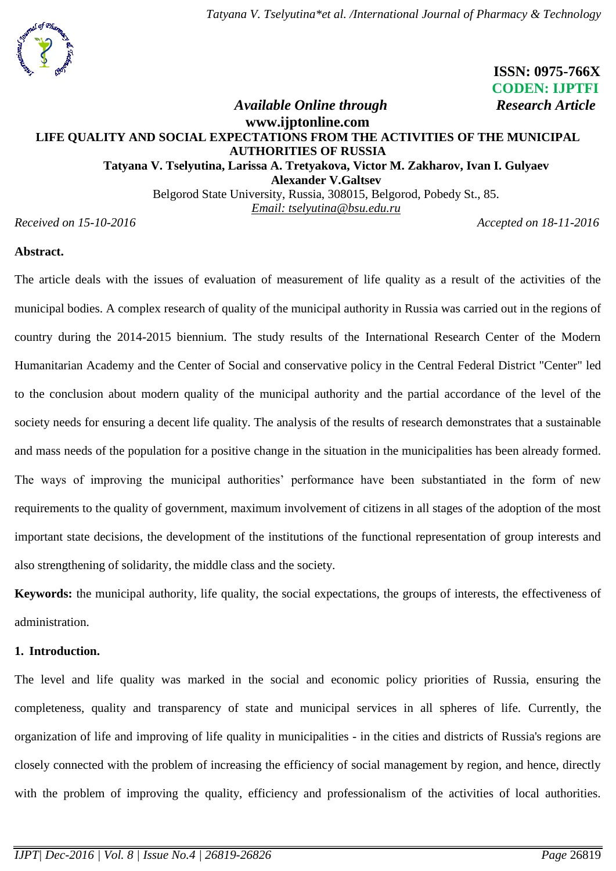

 **ISSN: 0975-766X CODEN: IJPTFI**

# *Available Online through* Research Article **[www.ijptonline.com](http://www.ijptonline.com/) LIFE QUALITY AND SOCIAL EXPECTATIONS FROM THE ACTIVITIES OF THE MUNICIPAL AUTHORITIES OF RUSSIA Tatyana V. Tselyutina, Larissa A. Tretyakova, Victor M. Zakharov, Ivan I. Gulyaev Alexander V.Galtsev**

Belgorod State University, Russia, 308015, Belgorod, Pobedy St., 85. *Email: tselyutina@bsu.edu.ru*

*Received on 15-10-2016 Accepted on 18-11-2016*

## **Abstract.**

The article deals with the issues of evaluation of measurement of life quality as a result of the activities of the municipal bodies. A complex research of quality of the municipal authority in Russia was carried out in the regions of country during the 2014-2015 biennium. The study results of the International Research Center of the Modern Humanitarian Academy and the Center of Social and conservative policy in the Central Federal District "Center" led to the conclusion about modern quality of the municipal authority and the partial accordance of the level of the society needs for ensuring a decent life quality. The analysis of the results of research demonstrates that a sustainable and mass needs of the population for a positive change in the situation in the municipalities has been already formed. The ways of improving the municipal authorities' performance have been substantiated in the form of new requirements to the quality of government, maximum involvement of citizens in all stages of the adoption of the most important state decisions, the development of the institutions of the functional representation of group interests and also strengthening of solidarity, the middle class and the society.

**Keywords:** the municipal authority, life quality, the social expectations, the groups of interests, the effectiveness of administration.

## **1. Introduction.**

The level and life quality was marked in the social and economic policy priorities of Russia, ensuring the completeness, quality and transparency of state and municipal services in all spheres of life. Currently, the organization of life and improving of life quality in municipalities - in the cities and districts of Russia's regions are closely connected with the problem of increasing the efficiency of social management by region, and hence, directly with the problem of improving the quality, efficiency and professionalism of the activities of local authorities.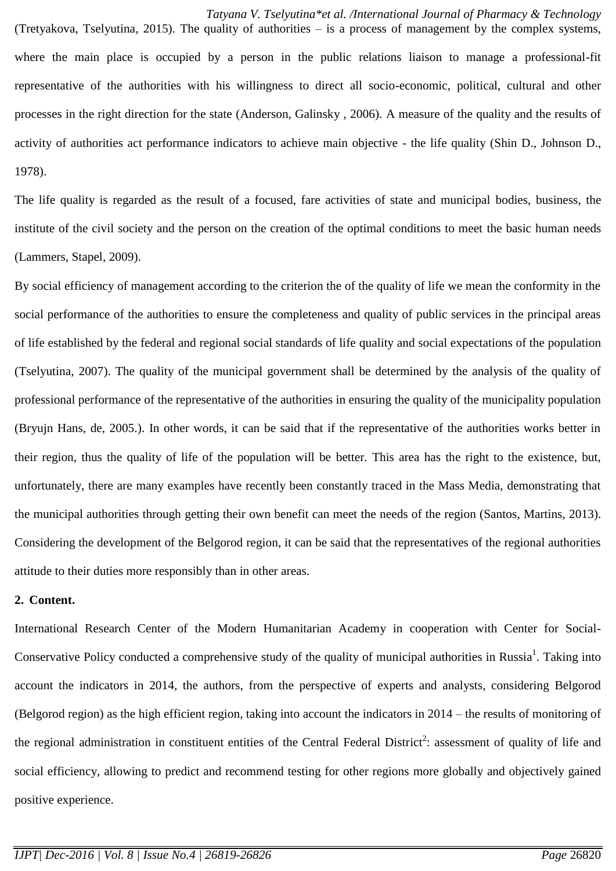*Tatyana V. Tselyutina\*et al. /International Journal of Pharmacy & Technology*

(Tretyakova, Tselyutina, 2015). The quality of authorities – is a process of management by the complex systems, where the main place is occupied by a person in the public relations liaison to manage a professional-fit representative of the authorities with his willingness to direct all socio-economic, political, cultural and other processes in the right direction for the state (Anderson, Galinsky , 2006). A measure of the quality and the results of activity of authorities act performance indicators to achieve main objective - the life quality (Shin D., Johnson D., 1978).

The life quality is regarded as the result of a focused, fare activities of state and municipal bodies, business, the institute of the civil society and the person on the creation of the optimal conditions to meet the basic human needs (Lammers, Stapel, 2009).

By social efficiency of management according to the criterion the of the quality of life we mean the conformity in the social performance of the authorities to ensure the completeness and quality of public services in the principal areas of life established by the federal and regional social standards of life quality and social expectations of the population (Tselyutina, 2007). The quality of the municipal government shall be determined by the analysis of the quality of professional performance of the representative of the authorities in ensuring the quality of the municipality population (Bryujn Hans, de, 2005.). In other words, it can be said that if the representative of the authorities works better in their region, thus the quality of life of the population will be better. This area has the right to the existence, but, unfortunately, there are many examples have recently been constantly traced in the Mass Media, demonstrating that the municipal authorities through getting their own benefit can meet the needs of the region (Santos, Martins, 2013). Considering the development of the Belgorod region, it can be said that the representatives of the regional authorities attitude to their duties more responsibly than in other areas.

### **2. Content.**

International Research Center of the Modern Humanitarian Academy in cooperation with Center for Social-Conservative Policy conducted a comprehensive study of the quality of municipal authorities in Russia<sup>1</sup>. Taking into account the indicators in 2014, the authors, from the perspective of experts and analysts, considering Belgorod (Belgorod region) as the high efficient region, taking into account the indicators in 2014 – the results of monitoring of the regional administration in constituent entities of the Central Federal District<sup>2</sup>: assessment of quality of life and social efficiency, allowing to predict and recommend testing for other regions more globally and objectively gained positive experience.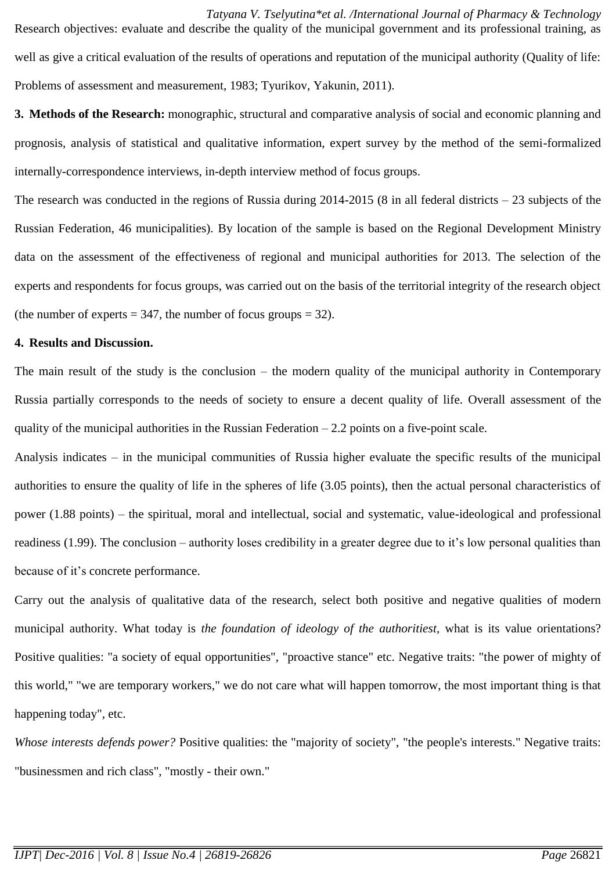*Tatyana V. Tselyutina\*et al. /International Journal of Pharmacy & Technology* Research objectives: evaluate and describe the quality of the municipal government and its professional training, as well as give a critical evaluation of the results of operations and reputation of the municipal authority (Quality of life: Problems of assessment and measurement, 1983; Tyurikov, Yakunin, 2011).

**3. Methods of the Research:** monographic, structural and comparative analysis of social and economic planning and prognosis, analysis of statistical and qualitative information, expert survey by the method of the semi-formalized internally-correspondence interviews, in-depth interview method of focus groups.

The research was conducted in the regions of Russia during 2014-2015 (8 in all federal districts – 23 subjects of the Russian Federation, 46 municipalities). By location of the sample is based on the Regional Development Ministry data on the assessment of the effectiveness of regional and municipal authorities for 2013. The selection of the experts and respondents for focus groups, was carried out on the basis of the territorial integrity of the research object (the number of experts  $= 347$ , the number of focus groups  $= 32$ ).

#### **4. Results and Discussion.**

The main result of the study is the conclusion – the modern quality of the municipal authority in Contemporary Russia partially corresponds to the needs of society to ensure a decent quality of life. Overall assessment of the quality of the municipal authorities in the Russian Federation  $-2.2$  points on a five-point scale.

Analysis indicates – in the municipal communities of Russia higher evaluate the specific results of the municipal authorities to ensure the quality of life in the spheres of life (3.05 points), then the actual personal characteristics of power (1.88 points) – the spiritual, moral and intellectual, social and systematic, value-ideological and professional readiness (1.99). The conclusion – authority loses credibility in a greater degree due to it's low personal qualities than because of it's concrete performance.

Carry out the analysis of qualitative data of the research, select both positive and negative qualities of modern municipal authority. What today is *the foundation of ideology of the authoritiest,* what is its value orientations? Positive qualities: "a society of equal opportunities", "proactive stance" etc. Negative traits: "the power of mighty of this world," "we are temporary workers," we do not care what will happen tomorrow, the most important thing is that happening today", etc.

*Whose interests defends power?* Positive qualities: the "majority of society", "the people's interests." Negative traits: "businessmen and rich class", "mostly - their own."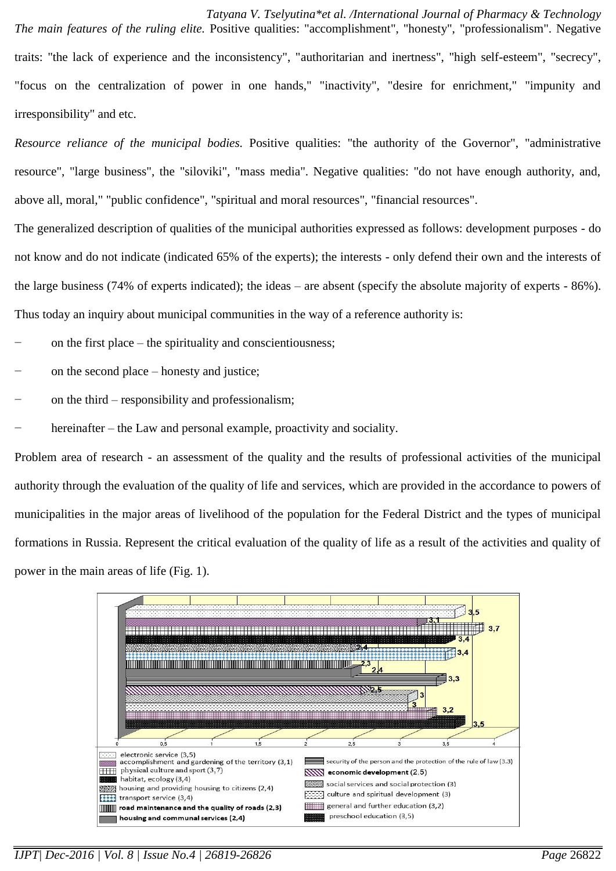*Tatyana V. Tselyutina\*et al. /International Journal of Pharmacy & Technology The main features of the ruling elite.* Positive qualities: "accomplishment", "honesty", "professionalism". Negative traits: "the lack of experience and the inconsistency", "authoritarian and inertness", "high self-esteem", "secrecy", "focus on the centralization of power in one hands," "inactivity", "desire for enrichment," "impunity and irresponsibility" and etc.

*Resource reliance of the municipal bodies.* Positive qualities: "the authority of the Governor", "administrative resource", "large business", the "siloviki", "mass media". Negative qualities: "do not have enough authority, and, above all, moral," "public confidence", "spiritual and moral resources", "financial resources".

The generalized description of qualities of the municipal authorities expressed as follows: development purposes - do not know and do not indicate (indicated 65% of the experts); the interests - only defend their own and the interests of the large business (74% of experts indicated); the ideas – are absent (specify the absolute majority of experts - 86%). Thus today an inquiry about municipal communities in the way of a reference authority is:

on the first place – the spirituality and conscientiousness;

- on the second place honesty and justice;
- on the third responsibility and professionalism;
- hereinafter the Law and personal example, proactivity and sociality.

Problem area of research - an assessment of the quality and the results of professional activities of the municipal authority through the evaluation of the quality of life and services, which are provided in the accordance to powers of municipalities in the major areas of livelihood of the population for the Federal District and the types of municipal formations in Russia. Represent the critical evaluation of the quality of life as a result of the activities and quality of power in the main areas of life (Fig. 1).



*IJPT| Dec-2016 | Vol. 8 | Issue No.4 | 26819-26826 Page* 26822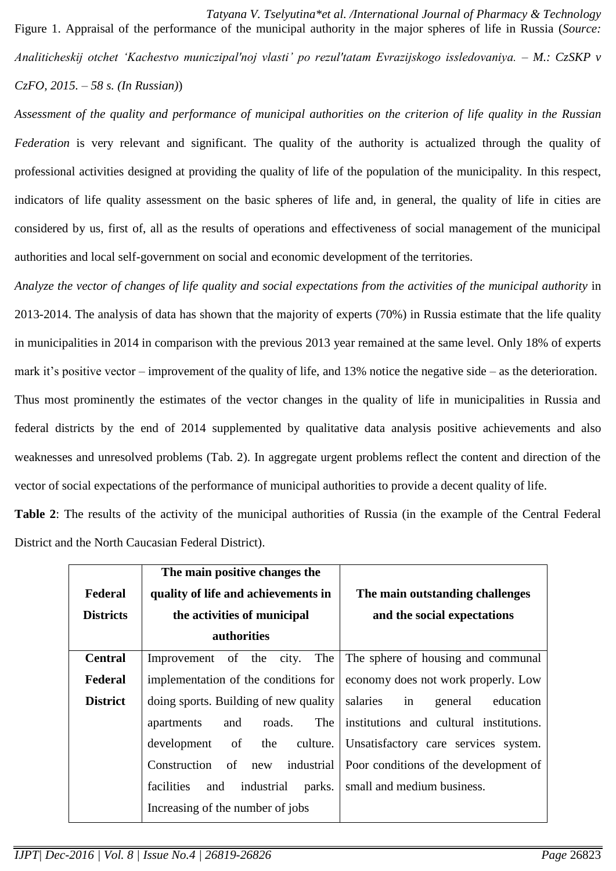*Tatyana V. Tselyutina\*et al. /International Journal of Pharmacy & Technology* Figure 1. Appraisal of the performance of the municipal authority in the major spheres of life in Russia (*Source: Analiticheskij otchet 'Kachestvo municzipal'noj vlasti' po rezul'tatam Evrazijskogo issledovaniya. – M.: CzSKP v CzFO, 2015. – 58 s. (In Russian)*)

*Assessment of the quality and performance of municipal authorities on the criterion of life quality in the Russian Federation* is very relevant and significant. The quality of the authority is actualized through the quality of professional activities designed at providing the quality of life of the population of the municipality. In this respect, indicators of life quality assessment on the basic spheres of life and, in general, the quality of life in cities are considered by us, first of, all as the results of operations and effectiveness of social management of the municipal authorities and local self-government on social and economic development of the territories.

*Analyze the vector of changes of life quality and social expectations from the activities of the municipal authority* in 2013-2014. The analysis of data has shown that the majority of experts (70%) in Russia estimate that the life quality in municipalities in 2014 in comparison with the previous 2013 year remained at the same level. Only 18% of experts mark it's positive vector – improvement of the quality of life, and 13% notice the negative side – as the deterioration. Thus most prominently the estimates of the vector changes in the quality of life in municipalities in Russia and federal districts by the end of 2014 supplemented by qualitative data analysis positive achievements and also weaknesses and unresolved problems (Tab. 2). In aggregate urgent problems reflect the content and direction of the vector of social expectations of the performance of municipal authorities to provide a decent quality of life.

**Table 2**: The results of the activity of the municipal authorities of Russia (in the example of the Central Federal District and the North Caucasian Federal District).

|                  | The main positive changes the             |                                         |
|------------------|-------------------------------------------|-----------------------------------------|
| Federal          | quality of life and achievements in       | The main outstanding challenges         |
| <b>Districts</b> | the activities of municipal               | and the social expectations             |
|                  | authorities                               |                                         |
| <b>Central</b>   | The<br>Improvement of the city.           | The sphere of housing and communal      |
| Federal          | implementation of the conditions for      | economy does not work properly. Low     |
| <b>District</b>  | doing sports. Building of new quality     | salaries<br>education<br>in<br>general  |
|                  | The<br>roads.<br>and<br>apartments        | institutions and cultural institutions. |
|                  | culture.<br>development<br>of<br>the      | Unsatisfactory care services system.    |
|                  | industrial<br>of new<br>Construction      | Poor conditions of the development of   |
|                  | industrial<br>facilities<br>and<br>parks. | small and medium business.              |
|                  | Increasing of the number of jobs          |                                         |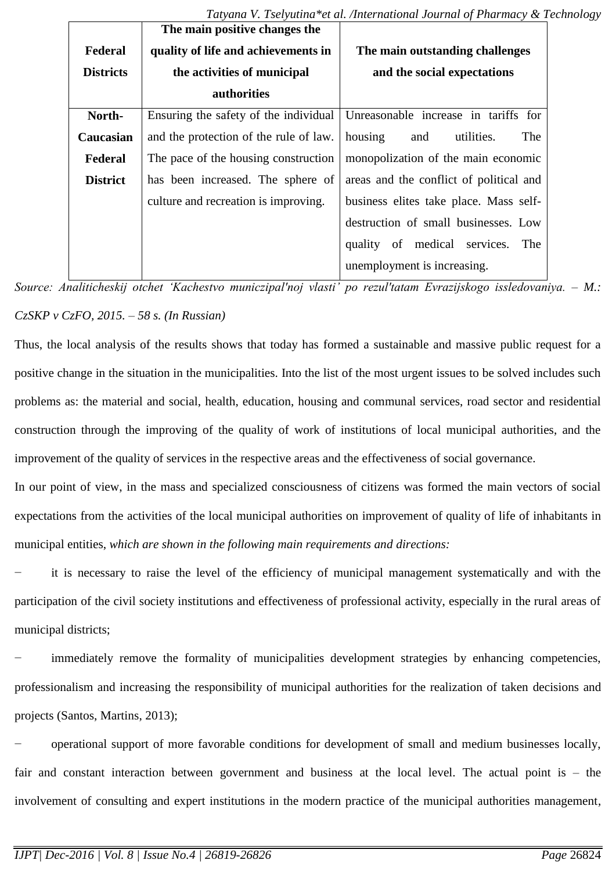|                  | The main positive changes the          |                                                                              |
|------------------|----------------------------------------|------------------------------------------------------------------------------|
| Federal          | quality of life and achievements in    | The main outstanding challenges                                              |
| <b>Districts</b> | the activities of municipal            | and the social expectations                                                  |
|                  | authorities                            |                                                                              |
| North-           |                                        | Ensuring the safety of the individual   Unreasonable increase in tariffs for |
| Caucasian        | and the protection of the rule of law. | housing<br>utilities.<br>The<br>and                                          |
| Federal          | The pace of the housing construction   | monopolization of the main economic                                          |
| <b>District</b>  | has been increased. The sphere of      | areas and the conflict of political and                                      |
|                  | culture and recreation is improving.   | business elites take place. Mass self-                                       |
|                  |                                        | destruction of small businesses. Low                                         |
|                  |                                        | quality of medical services.<br>The                                          |
|                  |                                        | unemployment is increasing.                                                  |

*Source: Analiticheskij otchet 'Kachestvo municzipal'noj vlasti' po rezul'tatam Evrazijskogo issledovaniya. – M.: CzSKP v CzFO, 2015. – 58 s. (In Russian)*

Thus, the local analysis of the results shows that today has formed a sustainable and massive public request for a positive change in the situation in the municipalities. Into the list of the most urgent issues to be solved includes such problems as: the material and social, health, education, housing and communal services, road sector and residential construction through the improving of the quality of work of institutions of local municipal authorities, and the improvement of the quality of services in the respective areas and the effectiveness of social governance.

In our point of view, in the mass and specialized consciousness of citizens was formed the main vectors of social expectations from the activities of the local municipal authorities on improvement of quality of life of inhabitants in municipal entities, *which are shown in the following main requirements and directions:*

it is necessary to raise the level of the efficiency of municipal management systematically and with the participation of the civil society institutions and effectiveness of professional activity, especially in the rural areas of municipal districts;

immediately remove the formality of municipalities development strategies by enhancing competencies, professionalism and increasing the responsibility of municipal authorities for the realization of taken decisions and projects (Santos, Martins, 2013);

− operational support of more favorable conditions for development of small and medium businesses locally, fair and constant interaction between government and business at the local level. The actual point is – the involvement of consulting and expert institutions in the modern practice of the municipal authorities management,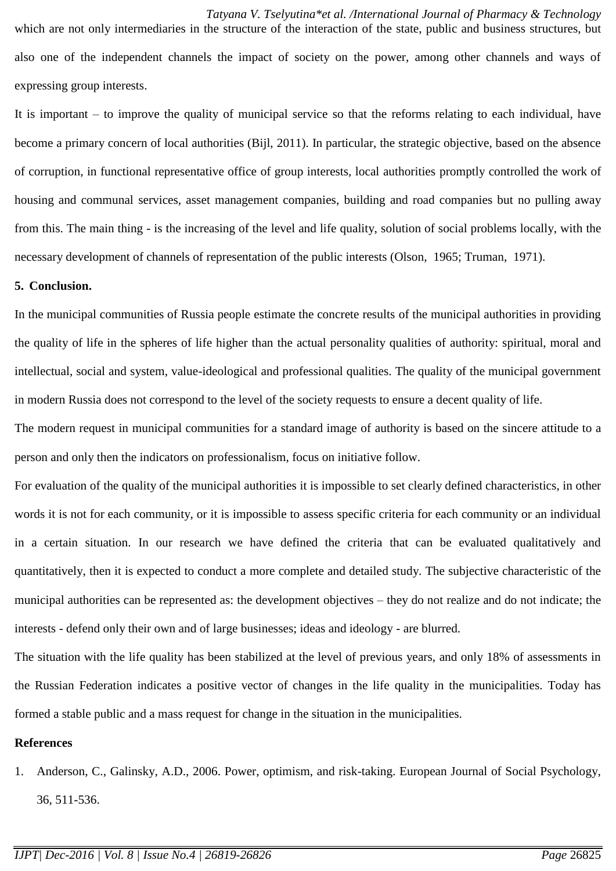*Tatyana V. Tselyutina\*et al. /International Journal of Pharmacy & Technology* which are not only intermediaries in the structure of the interaction of the state, public and business structures, but also one of the independent channels the impact of society on the power, among other channels and ways of expressing group interests.

It is important – to improve the quality of municipal service so that the reforms relating to each individual, have become a primary concern of local authorities (Bijl, 2011). In particular, the strategic objective, based on the absence of corruption, in functional representative office of group interests, local authorities promptly controlled the work of housing and communal services, asset management companies, building and road companies but no pulling away from this. The main thing - is the increasing of the level and life quality, solution of social problems locally, with the necessary development of channels of representation of the public interests (Olson, 1965; Truman, 1971).

### **5. Conclusion.**

In the municipal communities of Russia people estimate the concrete results of the municipal authorities in providing the quality of life in the spheres of life higher than the actual personality qualities of authority: spiritual, moral and intellectual, social and system, value-ideological and professional qualities. The quality of the municipal government in modern Russia does not correspond to the level of the society requests to ensure a decent quality of life.

The modern request in municipal communities for a standard image of authority is based on the sincere attitude to a person and only then the indicators on professionalism, focus on initiative follow.

For evaluation of the quality of the municipal authorities it is impossible to set clearly defined characteristics, in other words it is not for each community, or it is impossible to assess specific criteria for each community or an individual in a certain situation. In our research we have defined the criteria that can be evaluated qualitatively and quantitatively, then it is expected to conduct a more complete and detailed study. The subjective characteristic of the municipal authorities can be represented as: the development objectives – they do not realize and do not indicate; the interests - defend only their own and of large businesses; ideas and ideology - are blurred.

The situation with the life quality has been stabilized at the level of previous years, and only 18% of assessments in the Russian Federation indicates a positive vector of changes in the life quality in the municipalities. Today has formed a stable public and a mass request for change in the situation in the municipalities.

### **References**

1. Anderson, C., Galinsky, A.D., 2006. Power, optimism, and risk-taking. European Journal of Social Psychology, 36, 511-536.